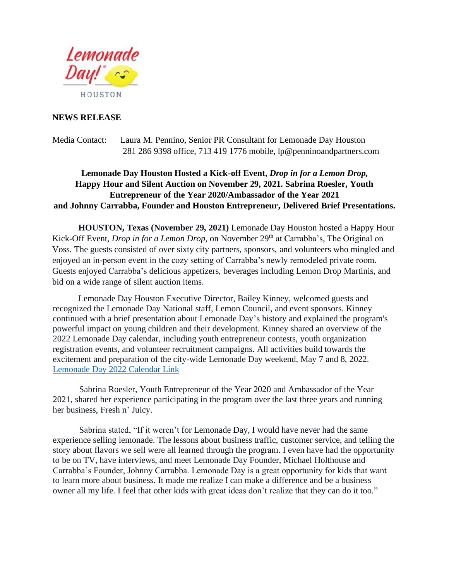

## **NEWS RELEASE**

Media Contact: Laura M. Pennino, Senior PR Consultant for Lemonade Day Houston 281 286 9398 office, 713 419 1776 mobile, lp@penninoandpartners.com

## **Lemonade Day Houston Hosted a Kick-off Event,** *Drop in for a Lemon Drop,* **Happy Hour and Silent Auction on November 29, 2021. Sabrina Roesler, Youth Entrepreneur of the Year 2020/Ambassador of the Year 2021 and Johnny Carrabba, Founder and Houston Entrepreneur, Delivered Brief Presentations.**

**HOUSTON, Texas (November 29, 2021)** Lemonade Day Houston hosted a Happy Hour Kick-Off Event, *Drop in for a Lemon Drop*, on November 29<sup>th</sup> at Carrabba's, The Original on Voss. The guests consisted of over sixty city partners, sponsors, and volunteers who mingled and enjoyed an in-person event in the cozy setting of Carrabba's newly remodeled private room. Guests enjoyed Carrabba's delicious appetizers, beverages including Lemon Drop Martinis, and bid on a wide range of silent auction items.

Lemonade Day Houston Executive Director, Bailey Kinney, welcomed guests and recognized the Lemonade Day National staff, Lemon Council, and event sponsors. Kinney continued with a brief presentation about Lemonade Day's history and explained the program's powerful impact on young children and their development. Kinney shared an overview of the 2022 Lemonade Day calendar, including youth entrepreneur contests, youth organization registration events, and volunteer recruitment campaigns. All activities build towards the excitement and preparation of the city-wide Lemonade Day weekend, May 7 and 8, 2022. Lemonade Day 2022 Calendar Link

Sabrina Roesler, Youth Entrepreneur of the Year 2020 and Ambassador of the Year 2021, shared her experience participating in the program over the last three years and running her business, Fresh n' Juicy.

Sabrina stated, "If it weren't for Lemonade Day, I would have never had the same experience selling lemonade. The lessons about business traffic, customer service, and telling the story about flavors we sell were all learned through the program. I even have had the opportunity to be on TV, have interviews, and meet Lemonade Day Founder, Michael Holthouse and Carrabba's Founder, Johnny Carrabba. Lemonade Day is a great opportunity for kids that want to learn more about business. It made me realize I can make a difference and be a business owner all my life. I feel that other kids with great ideas don't realize that they can do it too."